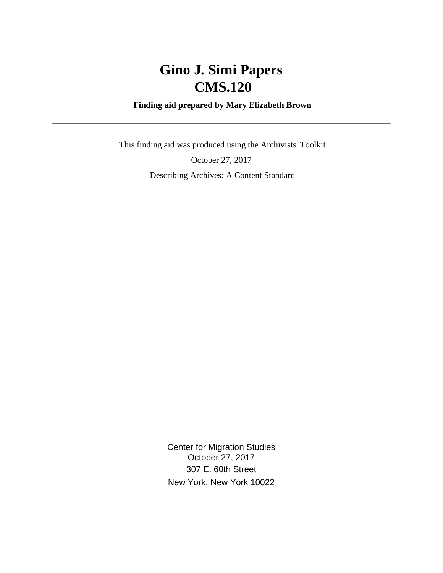# **Gino J. Simi Papers CMS.120**

#### **Finding aid prepared by Mary Elizabeth Brown**

 This finding aid was produced using the Archivists' Toolkit October 27, 2017 Describing Archives: A Content Standard

> Center for Migration Studies October 27, 2017 307 E. 60th Street New York, New York 10022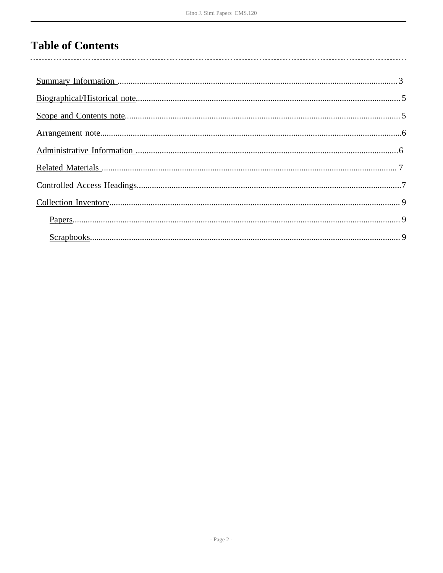# **Table of Contents**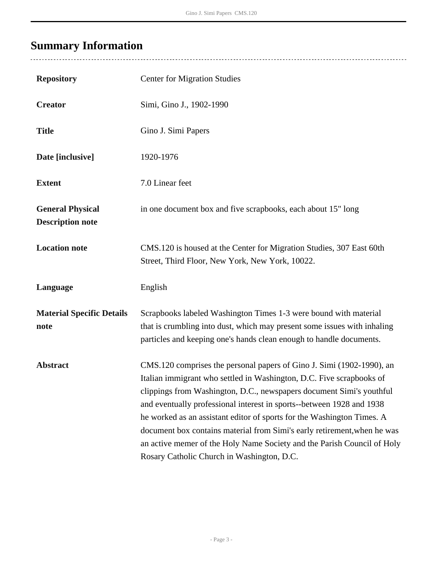÷,

# <span id="page-2-0"></span>**Summary Information**

| <b>Repository</b>                                  | <b>Center for Migration Studies</b>                                                                                                                                                                                                                                                                                                                                                                                                                                                                                                                                           |
|----------------------------------------------------|-------------------------------------------------------------------------------------------------------------------------------------------------------------------------------------------------------------------------------------------------------------------------------------------------------------------------------------------------------------------------------------------------------------------------------------------------------------------------------------------------------------------------------------------------------------------------------|
| <b>Creator</b>                                     | Simi, Gino J., 1902-1990                                                                                                                                                                                                                                                                                                                                                                                                                                                                                                                                                      |
| <b>Title</b>                                       | Gino J. Simi Papers                                                                                                                                                                                                                                                                                                                                                                                                                                                                                                                                                           |
| Date [inclusive]                                   | 1920-1976                                                                                                                                                                                                                                                                                                                                                                                                                                                                                                                                                                     |
| <b>Extent</b>                                      | 7.0 Linear feet                                                                                                                                                                                                                                                                                                                                                                                                                                                                                                                                                               |
| <b>General Physical</b><br><b>Description note</b> | in one document box and five scrapbooks, each about 15" long                                                                                                                                                                                                                                                                                                                                                                                                                                                                                                                  |
| <b>Location note</b>                               | CMS.120 is housed at the Center for Migration Studies, 307 East 60th<br>Street, Third Floor, New York, New York, 10022.                                                                                                                                                                                                                                                                                                                                                                                                                                                       |
| Language                                           | English                                                                                                                                                                                                                                                                                                                                                                                                                                                                                                                                                                       |
| <b>Material Specific Details</b><br>note           | Scrapbooks labeled Washington Times 1-3 were bound with material<br>that is crumbling into dust, which may present some issues with inhaling<br>particles and keeping one's hands clean enough to handle documents.                                                                                                                                                                                                                                                                                                                                                           |
| <b>Abstract</b>                                    | CMS.120 comprises the personal papers of Gino J. Simi (1902-1990), an<br>Italian immigrant who settled in Washington, D.C. Five scrapbooks of<br>clippings from Washington, D.C., newspapers document Simi's youthful<br>and eventually professional interest in sports--between 1928 and 1938<br>he worked as an assistant editor of sports for the Washington Times. A<br>document box contains material from Simi's early retirement, when he was<br>an active memer of the Holy Name Society and the Parish Council of Holy<br>Rosary Catholic Church in Washington, D.C. |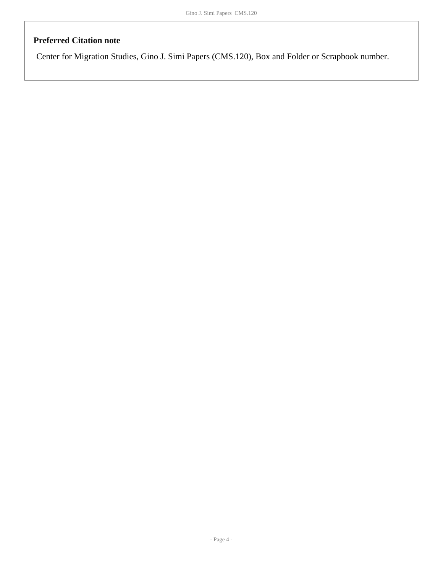#### **Preferred Citation note**

Center for Migration Studies, Gino J. Simi Papers (CMS.120), Box and Folder or Scrapbook number.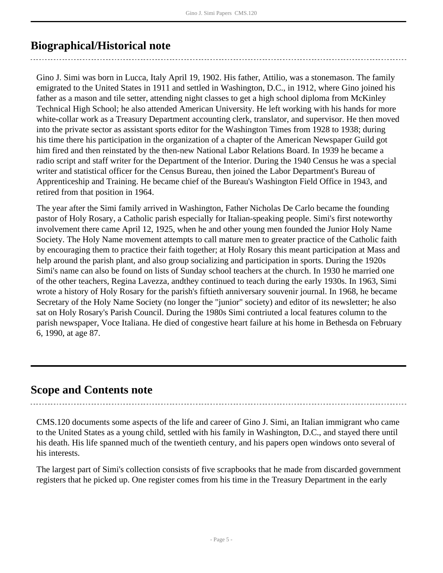# <span id="page-4-0"></span>**Biographical/Historical note**

Gino J. Simi was born in Lucca, Italy April 19, 1902. His father, Attilio, was a stonemason. The family emigrated to the United States in 1911 and settled in Washington, D.C., in 1912, where Gino joined his father as a mason and tile setter, attending night classes to get a high school diploma from McKinley Technical High School; he also attended American University. He left working with his hands for more white-collar work as a Treasury Department accounting clerk, translator, and supervisor. He then moved into the private sector as assistant sports editor for the Washington Times from 1928 to 1938; during his time there his participation in the organization of a chapter of the American Newspaper Guild got him fired and then reinstated by the then-new National Labor Relations Board. In 1939 he became a radio script and staff writer for the Department of the Interior. During the 1940 Census he was a special writer and statistical officer for the Census Bureau, then joined the Labor Department's Bureau of Apprenticeship and Training. He became chief of the Bureau's Washington Field Office in 1943, and retired from that position in 1964.

The year after the Simi family arrived in Washington, Father Nicholas De Carlo became the founding pastor of Holy Rosary, a Catholic parish especially for Italian-speaking people. Simi's first noteworthy involvement there came April 12, 1925, when he and other young men founded the Junior Holy Name Society. The Holy Name movement attempts to call mature men to greater practice of the Catholic faith by encouraging them to practice their faith together; at Holy Rosary this meant participation at Mass and help around the parish plant, and also group socializing and participation in sports. During the 1920s Simi's name can also be found on lists of Sunday school teachers at the church. In 1930 he married one of the other teachers, Regina Lavezza, andthey continued to teach during the early 1930s. In 1963, Simi wrote a history of Holy Rosary for the parish's fiftieth anniversary souvenir journal. In 1968, he became Secretary of the Holy Name Society (no longer the "junior" society) and editor of its newsletter; he also sat on Holy Rosary's Parish Council. During the 1980s Simi contriuted a local features column to the parish newspaper, Voce Italiana. He died of congestive heart failure at his home in Bethesda on February 6, 1990, at age 87.

## <span id="page-4-1"></span>**Scope and Contents note**

CMS.120 documents some aspects of the life and career of Gino J. Simi, an Italian immigrant who came to the United States as a young child, settled with his family in Washington, D.C., and stayed there until his death. His life spanned much of the twentieth century, and his papers open windows onto several of his interests.

The largest part of Simi's collection consists of five scrapbooks that he made from discarded government registers that he picked up. One register comes from his time in the Treasury Department in the early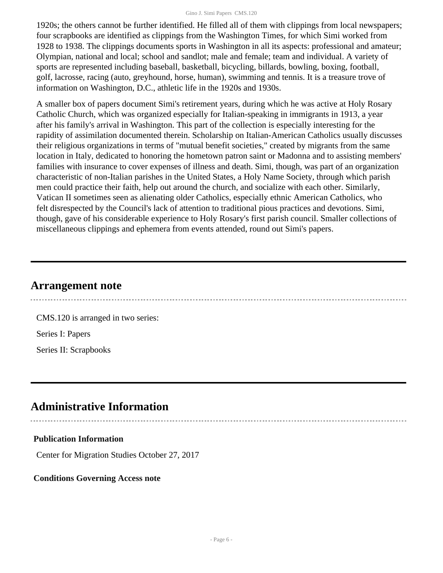#### Gino J. Simi Papers CMS.120

1920s; the others cannot be further identified. He filled all of them with clippings from local newspapers; four scrapbooks are identified as clippings from the Washington Times, for which Simi worked from 1928 to 1938. The clippings documents sports in Washington in all its aspects: professional and amateur; Olympian, national and local; school and sandlot; male and female; team and individual. A variety of sports are represented including baseball, basketball, bicycling, billards, bowling, boxing, football, golf, lacrosse, racing (auto, greyhound, horse, human), swimming and tennis. It is a treasure trove of information on Washington, D.C., athletic life in the 1920s and 1930s.

A smaller box of papers document Simi's retirement years, during which he was active at Holy Rosary Catholic Church, which was organized especially for Italian-speaking in immigrants in 1913, a year after his family's arrival in Washington. This part of the collection is especially interesting for the rapidity of assimilation documented therein. Scholarship on Italian-American Catholics usually discusses their religious organizations in terms of "mutual benefit societies," created by migrants from the same location in Italy, dedicated to honoring the hometown patron saint or Madonna and to assisting members' families with insurance to cover expenses of illness and death. Simi, though, was part of an organization characteristic of non-Italian parishes in the United States, a Holy Name Society, through which parish men could practice their faith, help out around the church, and socialize with each other. Similarly, Vatican II sometimes seen as alienating older Catholics, especially ethnic American Catholics, who felt disrespected by the Council's lack of attention to traditional pious practices and devotions. Simi, though, gave of his considerable experience to Holy Rosary's first parish council. Smaller collections of miscellaneous clippings and ephemera from events attended, round out Simi's papers.

## <span id="page-5-0"></span>**Arrangement note**

CMS.120 is arranged in two series: Series I: Papers Series II: Scrapbooks

## <span id="page-5-1"></span>**Administrative Information**

#### **Publication Information**

Center for Migration Studies October 27, 2017

#### **Conditions Governing Access note**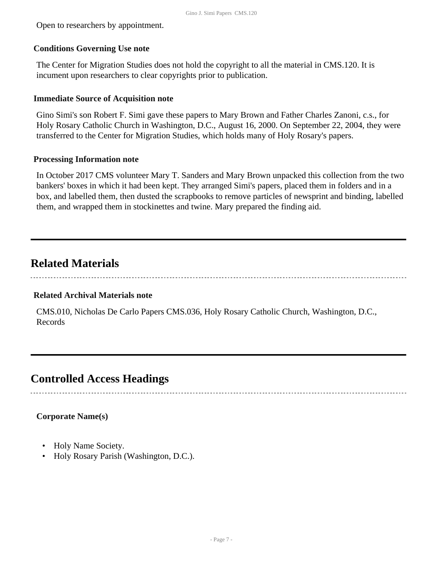Open to researchers by appointment.

#### **Conditions Governing Use note**

The Center for Migration Studies does not hold the copyright to all the material in CMS.120. It is incument upon researchers to clear copyrights prior to publication.

#### **Immediate Source of Acquisition note**

Gino Simi's son Robert F. Simi gave these papers to Mary Brown and Father Charles Zanoni, c.s., for Holy Rosary Catholic Church in Washington, D.C., August 16, 2000. On September 22, 2004, they were transferred to the Center for Migration Studies, which holds many of Holy Rosary's papers.

#### **Processing Information note**

In October 2017 CMS volunteer Mary T. Sanders and Mary Brown unpacked this collection from the two bankers' boxes in which it had been kept. They arranged Simi's papers, placed them in folders and in a box, and labelled them, then dusted the scrapbooks to remove particles of newsprint and binding, labelled them, and wrapped them in stockinettes and twine. Mary prepared the finding aid.

# <span id="page-6-0"></span>**Related Materials**

#### **Related Archival Materials note**

CMS.010, Nicholas De Carlo Papers CMS.036, Holy Rosary Catholic Church, Washington, D.C., Records

# <span id="page-6-1"></span>**Controlled Access Headings**

### **Corporate Name(s)**

- Holy Name Society.
- Holy Rosary Parish (Washington, D.C.).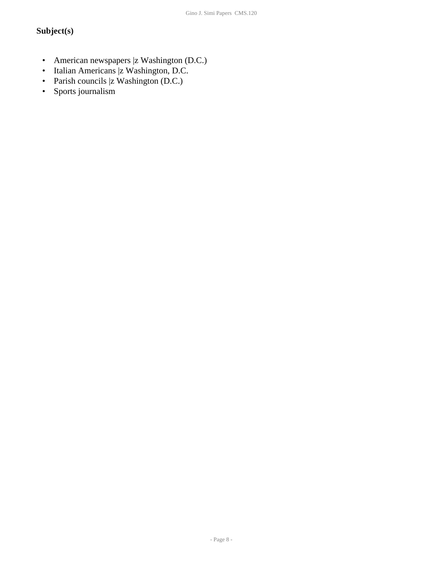## **Subject(s)**

- American newspapers |z Washington (D.C.)
- Italian Americans |z Washington, D.C.
- Parish councils |z Washington (D.C.)
- Sports journalism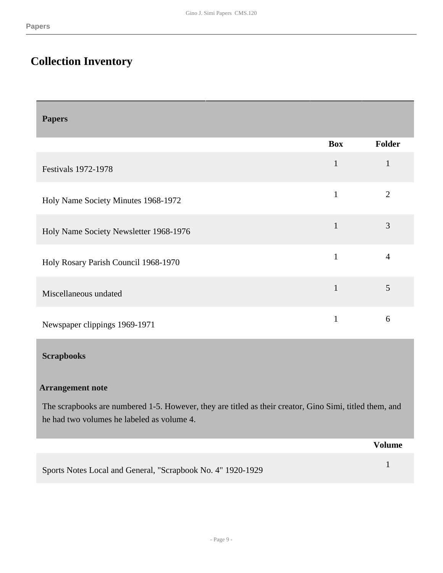# <span id="page-8-0"></span>**Collection Inventory**

<span id="page-8-1"></span>

| <b>Papers</b>                                                                                                                                         |              |                |  |  |
|-------------------------------------------------------------------------------------------------------------------------------------------------------|--------------|----------------|--|--|
|                                                                                                                                                       | <b>Box</b>   | <b>Folder</b>  |  |  |
| <b>Festivals 1972-1978</b>                                                                                                                            | $\mathbf 1$  | $\mathbf{1}$   |  |  |
| Holy Name Society Minutes 1968-1972                                                                                                                   | $\mathbf{1}$ | $\overline{2}$ |  |  |
| Holy Name Society Newsletter 1968-1976                                                                                                                | $\mathbf{1}$ | $\overline{3}$ |  |  |
| Holy Rosary Parish Council 1968-1970                                                                                                                  | $\mathbf{1}$ | $\overline{4}$ |  |  |
| Miscellaneous undated                                                                                                                                 | $\mathbf{1}$ | 5              |  |  |
| Newspaper clippings 1969-1971                                                                                                                         | $\mathbf{1}$ | 6              |  |  |
| <b>Scrapbooks</b>                                                                                                                                     |              |                |  |  |
| <b>Arrangement note</b>                                                                                                                               |              |                |  |  |
| The scrapbooks are numbered 1-5. However, they are titled as their creator, Gino Simi, titled them, and<br>he had two volumes he labeled as volume 4. |              |                |  |  |

<span id="page-8-2"></span>

|                                                             | Volume |
|-------------------------------------------------------------|--------|
| Sports Notes Local and General, "Scrapbook No. 4" 1920-1929 |        |